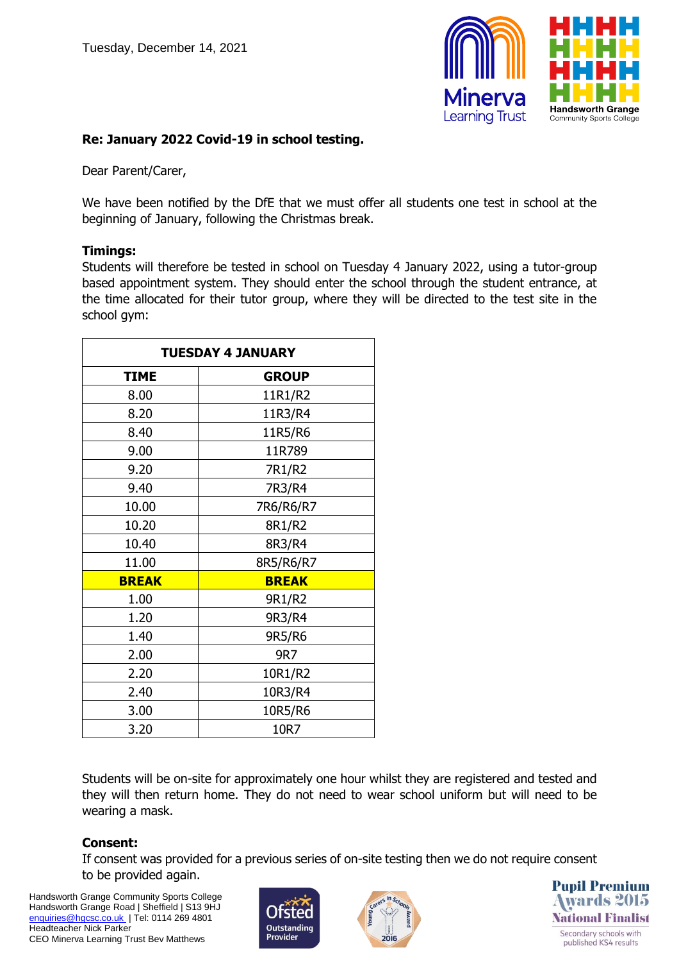

# **Re: January 2022 Covid-19 in school testing.**

Dear Parent/Carer,

We have been notified by the DfE that we must offer all students one test in school at the beginning of January, following the Christmas break.

## **Timings:**

Students will therefore be tested in school on Tuesday 4 January 2022, using a tutor-group based appointment system. They should enter the school through the student entrance, at the time allocated for their tutor group, where they will be directed to the test site in the school gym:

| <b>TUESDAY 4 JANUARY</b> |              |
|--------------------------|--------------|
| <b>TIME</b>              | <b>GROUP</b> |
| 8.00                     | 11R1/R2      |
| 8.20                     | 11R3/R4      |
| 8.40                     | 11R5/R6      |
| 9.00                     | 11R789       |
| 9.20                     | 7R1/R2       |
| 9.40                     | 7R3/R4       |
| 10.00                    | 7R6/R6/R7    |
| 10.20                    | 8R1/R2       |
| 10.40                    | 8R3/R4       |
| 11.00                    | 8R5/R6/R7    |
| <b>BREAK</b>             | <b>BREAK</b> |
| 1.00                     | 9R1/R2       |
| 1.20                     | 9R3/R4       |
| 1.40                     | 9R5/R6       |
| 2.00                     | 9R7          |
| 2.20                     | 10R1/R2      |
| 2.40                     | 10R3/R4      |
| 3.00                     | 10R5/R6      |
| 3.20                     | 10R7         |

Students will be on-site for approximately one hour whilst they are registered and tested and they will then return home. They do not need to wear school uniform but will need to be wearing a mask.

# **Consent:**

If consent was provided for a previous series of on-site testing then we do not require consent to be provided again.

Handsworth Grange Community Sports College Handsworth Grange Road | Sheffield | S13 9HJ [enquiries@hgcsc.co.uk](mailto:enquiries@hgcsc.co.uk) | Tel: 0114 269 4801 Headteacher Nick Parker CEO Minerva Learning Trust Bev Matthews